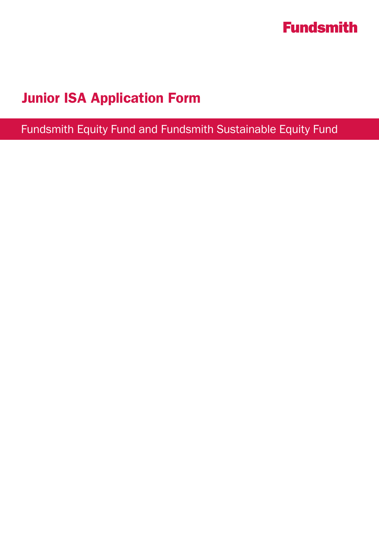

# Junior ISA Application Form

Fundsmith Equity Fund and Fundsmith Sustainable Equity Fund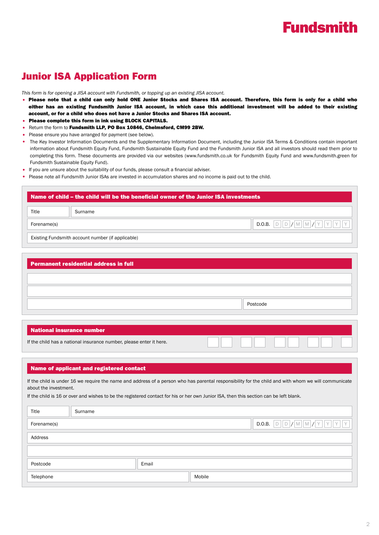# **Fundsmith**

## Junior ISA Application Form

*This form is for opening a JISA account with Fundsmith, or topping up an existing JISA account.*

- Please note that a child can only hold ONE Junior Stocks and Shares ISA account. Therefore, this form is only for a child who either has an existing Fundsmith Junior ISA account, in which case this additional investment will be added to their existing account, or for a child who does not have a Junior Stocks and Shares ISA account.
- Please complete this form in ink using BLOCK CAPITALS.
- Return the form to Fundsmith LLP, PO Box 10846, Chelmsford, CM99 2BW.
- Please ensure you have arranged for payment (see below).
- The Key Investor Information Documents and the Supplementary Information Document, including the Junior ISA Terms & Conditions contain important information about Fundsmith Equity Fund, Fundsmith Sustainable Equity Fund and the Fundsmith Junior ISA and all investors should read them prior to completing this form. These documents are provided via our websites (www.fundsmith.co.uk for Fundsmith Equity Fund and www.fundsmith.green for Fundsmith Sustainable Equity Fund).
- If you are unsure about the suitability of our funds, please consult a financial adviser.
- Please note all Fundsmith Junior ISAs are invested in accumulation shares and no income is paid out to the child.

# Name of child – the child will be the beneficial owner of the Junior ISA investments Existing Fundsmith account number (if applicable) Title Surname Forename(s) D.O.B.  $\boxed{D}$  D.O.B.  $\boxed{D}$   $\boxed{N}$   $\boxed{M}$   $\boxed{N}$   $\boxed{Y}$   $\boxed{Y}$   $\boxed{Y}$

|          | <b>Permanent residential address in full</b> |  |
|----------|----------------------------------------------|--|
|          |                                              |  |
|          |                                              |  |
| Postcode |                                              |  |

## National insurance number

| If the child has a national insurance number, please enter it here. |  | VITIN |  |
|---------------------------------------------------------------------|--|-------|--|
|---------------------------------------------------------------------|--|-------|--|

### Name of applicant and registered contact

If the child is under 16 we require the name and address of a person who has parental responsibility for the child and with whom we will communicate about the investment.

If the child is 16 or over and wishes to be the registered contact for his or her own Junior ISA, then this section can be left blank.

| Title       | Surname |       |        |                                                                                                                                                                                                                                                  |
|-------------|---------|-------|--------|--------------------------------------------------------------------------------------------------------------------------------------------------------------------------------------------------------------------------------------------------|
| Forename(s) |         |       |        | $\fbox{\texttt{D.O.B.}} \quad \fbox{\texttt{D}} \quad \fbox{\texttt{D}} \quad \fbox{\texttt{M}} \quad \fbox{\texttt{M}} \quad \fbox{\texttt{M}} \quad \fbox{\texttt{Y}} \quad \fbox{\texttt{Y}} \quad \fbox{\texttt{Y}} \quad \fbox{\texttt{Y}}$ |
| Address     |         |       |        |                                                                                                                                                                                                                                                  |
|             |         |       |        |                                                                                                                                                                                                                                                  |
| Postcode    |         | Email |        |                                                                                                                                                                                                                                                  |
| Telephone   |         |       | Mobile |                                                                                                                                                                                                                                                  |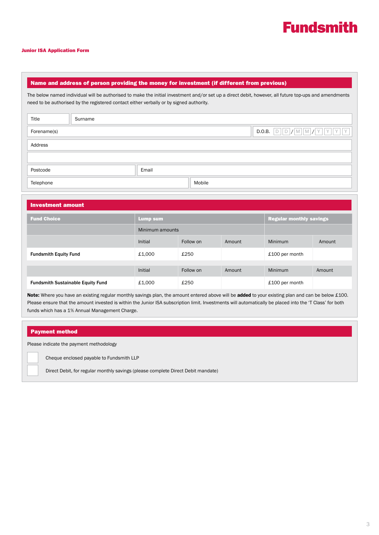

#### Junior ISA Application Form

## Name and address of person providing the money for investment (if different from previous)

The below named individual will be authorised to make the initial investment and/or set up a direct debit, however, all future top-ups and amendments need to be authorised by the registered contact either verbally or by signed authority.

| Title       | Surname |       |        |                               |
|-------------|---------|-------|--------|-------------------------------|
| Forename(s) |         |       |        | D D / M M / Y Y Y Y<br>D.O.B. |
| Address     |         |       |        |                               |
|             |         |       |        |                               |
| Postcode    |         | Email |        |                               |
| Telephone   |         |       | Mobile |                               |

| <b>Investment amount</b>                 |                 |           |        |                                |        |
|------------------------------------------|-----------------|-----------|--------|--------------------------------|--------|
| <b>Fund Choice</b>                       | <b>Lump sum</b> |           |        | <b>Regular monthly savings</b> |        |
|                                          | Minimum amounts |           |        |                                |        |
|                                          | Initial         | Follow on | Amount | <b>Minimum</b>                 | Amount |
| <b>Fundsmith Equity Fund</b>             | £1,000          | £250      |        | £100 per month                 |        |
|                                          |                 |           |        |                                |        |
|                                          | Initial         | Follow on | Amount | <b>Minimum</b>                 | Amount |
| <b>Fundsmith Sustainable Equity Fund</b> | £1,000          | £250      |        | £100 per month                 |        |

Note: Where you have an existing regular monthly savings plan, the amount entered above will be added to your existing plan and can be below £100. Please ensure that the amount invested is within the Junior ISA subscription limit. Investments will automatically be placed into the 'T Class' for both funds which has a 1% Annual Management Charge.

## Payment method

Please indicate the payment methodology

Cheque enclosed payable to Fundsmith LLP

Direct Debit, for regular monthly savings (please complete Direct Debit mandate)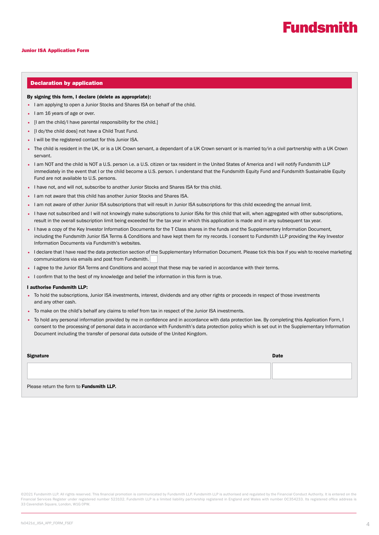# **Fundsmith**

#### Junior ISA Application Form

#### Declaration by application

#### By signing this form, I declare (delete as appropriate):

- I am applying to open a Junior Stocks and Shares ISA on behalf of the child.
- I am 16 years of age or over.
- [I am the child/I have parental responsibility for the child.]
- [I do/the child does] not have a Child Trust Fund.
- I will be the registered contact for this Junior ISA.
- The child is resident in the UK, or is a UK Crown servant, a dependant of a UK Crown servant or is married to/in a civil partnership with a UK Crown servant.
- I am NOT and the child is NOT a U.S. person i.e. a U.S. citizen or tax resident in the United States of America and I will notify Fundsmith LLP immediately in the event that I or the child become a U.S. person. I understand that the Fundsmith Equity Fund and Fundsmith Sustainable Equity Fund are not available to U.S. persons.
- I have not, and will not, subscribe to another Junior Stocks and Shares ISA for this child.
- I am not aware that this child has another Junior Stocks and Shares ISA.
- I am not aware of other Junior ISA subscriptions that will result in Junior ISA subscriptions for this child exceeding the annual limit.
- I have not subscribed and I will not knowingly make subscriptions to Junior ISAs for this child that will, when aggregated with other subscriptions, result in the overall subscription limit being exceeded for the tax year in which this application is made and in any subsequent tax year.
- I have a copy of the Key Investor Information Documents for the T Class shares in the funds and the Supplementary Information Document, including the Fundsmith Junior ISA Terms & Conditions and have kept them for my records. I consent to Fundsmith LLP providing the Key Investor Information Documents via Fundsmith's websites.
- I declare that I have read the data protection section of the Supplementary Information Document. Please tick this box if you wish to receive marketing communications via emails and post from Fundsmith.
- I agree to the Junior ISA Terms and Conditions and accept that these may be varied in accordance with their terms.
- I confirm that to the best of my knowledge and belief the information in this form is true.

### I authorise Fundsmith LLP:

- To hold the subscriptions, Junior ISA investments, interest, dividends and any other rights or proceeds in respect of those investments and any other cash.
- To make on the child's behalf any claims to relief from tax in respect of the Junior ISA investments.
- To hold any personal information provided by me in confidence and in accordance with data protection law. By completing this Application Form, I consent to the processing of personal data in accordance with Fundsmith's data protection policy which is set out in the Supplementary Information Document including the transfer of personal data outside of the United Kingdom.

| Signature                                | <b>Date</b> |
|------------------------------------------|-------------|
|                                          |             |
| Please return the form to Fundsmith LLP. |             |

©2021 Fundsmith LLP. All rights reserved. This financial promotion is communicated by Fundsmith LLP. Fundsmith LLP is authorised and regulated by the Financial Conduct Authority. It is entered on the Financial Services Register under registered number 523102. Fundsmith LLP is a limited liability partnership registered in England and Wales with number OC354233. Its registered office address is 33 Cavendish Square, London, W1G 0PW.